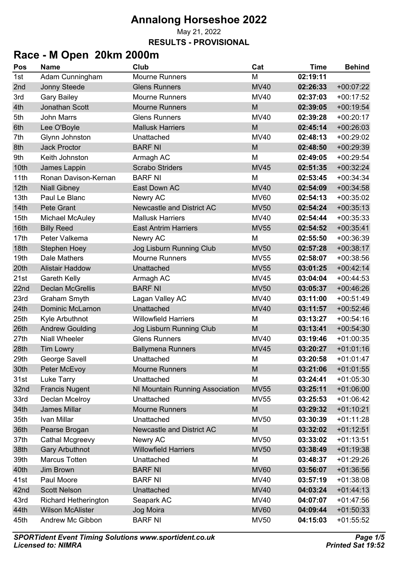May 21, 2022 **RESULTS - PROVISIONAL**

### **Race - M Open 20km 2000m**

| Pos  | <b>Name</b>                 | Club                             | Cat         | <b>Time</b> | <b>Behind</b> |
|------|-----------------------------|----------------------------------|-------------|-------------|---------------|
| 1st  | Adam Cunningham             | <b>Mourne Runners</b>            | M           | 02:19:11    |               |
| 2nd  | <b>Jonny Steede</b>         | <b>Glens Runners</b>             | <b>MV40</b> | 02:26:33    | $+00:07:22$   |
| 3rd  | <b>Gary Bailey</b>          | <b>Mourne Runners</b>            | <b>MV40</b> | 02:37:03    | $+00:17:52$   |
| 4th  | <b>Jonathan Scott</b>       | <b>Mourne Runners</b>            | M           | 02:39:05    | $+00:19:54$   |
| 5th  | <b>John Marrs</b>           | <b>Glens Runners</b>             | <b>MV40</b> | 02:39:28    | $+00:20:17$   |
| 6th  | Lee O'Boyle                 | <b>Mallusk Harriers</b>          | M           | 02:45:14    | $+00:26:03$   |
| 7th  | Glynn Johnston              | Unattached                       | <b>MV40</b> | 02:48:13    | $+00:29:02$   |
| 8th  | <b>Jack Proctor</b>         | <b>BARF NI</b>                   | M           | 02:48:50    | $+00:29:39$   |
| 9th  | Keith Johnston              | Armagh AC                        | M           | 02:49:05    | $+00:29:54$   |
| 10th | James Lappin                | <b>Scrabo Striders</b>           | <b>MV45</b> | 02:51:35    | $+00:32:24$   |
| 11th | Ronan Davison-Kernan        | <b>BARF NI</b>                   | M           | 02:53:45    | $+00:34:34$   |
| 12th | <b>Niall Gibney</b>         | East Down AC                     | <b>MV40</b> | 02:54:09    | $+00:34:58$   |
| 13th | Paul Le Blanc               | Newry AC                         | <b>MV60</b> | 02:54:13    | $+00:35:02$   |
| 14th | Pete Grant                  | <b>Newcastle and District AC</b> | <b>MV50</b> | 02:54:24    | $+00:35:13$   |
| 15th | <b>Michael McAuley</b>      | <b>Mallusk Harriers</b>          | <b>MV40</b> | 02:54:44    | $+00:35:33$   |
| 16th | <b>Billy Reed</b>           | <b>East Antrim Harriers</b>      | <b>MV55</b> | 02:54:52    | $+00:35:41$   |
| 17th | Peter Valkema               | Newry AC                         | M           | 02:55:50    | $+00:36:39$   |
| 18th | <b>Stephen Hoey</b>         | Jog Lisburn Running Club         | <b>MV50</b> | 02:57:28    | $+00:38:17$   |
| 19th | Dale Mathers                | <b>Mourne Runners</b>            | <b>MV55</b> | 02:58:07    | $+00:38:56$   |
| 20th | <b>Alistair Haddow</b>      | Unattached                       | <b>MV55</b> | 03:01:25    | $+00:42:14$   |
| 21st | Gareth Kelly                | Armagh AC                        | <b>MV45</b> | 03:04:04    | $+00:44:53$   |
| 22nd | <b>Declan McGrellis</b>     | <b>BARF NI</b>                   | <b>MV50</b> | 03:05:37    | $+00:46:26$   |
| 23rd | Graham Smyth                | Lagan Valley AC                  | <b>MV40</b> | 03:11:00    | $+00:51:49$   |
| 24th | <b>Dominic McLarnon</b>     | Unattached                       | <b>MV40</b> | 03:11:57    | $+00:52:46$   |
| 25th | Kyle Arbuthnot              | <b>Willowfield Harriers</b>      | M           | 03:13:27    | $+00:54:16$   |
| 26th | <b>Andrew Goulding</b>      | Jog Lisburn Running Club         | M           | 03:13:41    | $+00:54:30$   |
| 27th | <b>Niall Wheeler</b>        | <b>Glens Runners</b>             | <b>MV40</b> | 03:19:46    | $+01:00:35$   |
| 28th | <b>Tim Lowry</b>            | <b>Ballymena Runners</b>         | <b>MV45</b> | 03:20:27    | $+01:01:16$   |
| 29th | George Savell               | Unattached                       | M           | 03:20:58    | $+01:01:47$   |
| 30th | Peter McEvoy                | <b>Mourne Runners</b>            | M           | 03:21:06    | $+01:01:55$   |
| 31st | Luke Tarry                  | Unattached                       | M           | 03:24:41    | $+01:05:30$   |
| 32nd | <b>Francis Nugent</b>       | NI Mountain Running Association  | <b>MV55</b> | 03:25:11    | $+01:06:00$   |
| 33rd | Declan Mcelroy              | Unattached                       | <b>MV55</b> | 03:25:53    | $+01:06:42$   |
| 34th | James Millar                | <b>Mourne Runners</b>            | M           | 03:29:32    | $+01:10:21$   |
| 35th | Ivan Millar                 | Unattached                       | <b>MV50</b> | 03:30:39    | $+01:11:28$   |
| 36th | Pearse Brogan               | Newcastle and District AC        | M           | 03:32:02    | $+01:12:51$   |
| 37th | Cathal Mcgreevy             | Newry AC                         | <b>MV50</b> | 03:33:02    | $+01:13:51$   |
| 38th | <b>Gary Arbuthnot</b>       | <b>Willowfield Harriers</b>      | <b>MV50</b> | 03:38:49    | $+01:19:38$   |
| 39th | <b>Marcus Totten</b>        | Unattached                       | M           | 03:48:37    | $+01:29:26$   |
| 40th | Jim Brown                   | <b>BARF NI</b>                   | <b>MV60</b> | 03:56:07    | $+01:36:56$   |
| 41st | Paul Moore                  | <b>BARF NI</b>                   | <b>MV40</b> | 03:57:19    | $+01:38:08$   |
| 42nd | <b>Scott Nelson</b>         | Unattached                       | <b>MV40</b> | 04:03:24    | $+01:44:13$   |
| 43rd | <b>Richard Hetherington</b> | Seapark AC                       | <b>MV40</b> | 04:07:07    | $+01:47:56$   |
| 44th | <b>Wilson McAlister</b>     | Jog Moira                        | <b>MV60</b> | 04:09:44    | $+01:50:33$   |
| 45th | Andrew Mc Gibbon            | <b>BARF NI</b>                   | <b>MV50</b> | 04:15:03    | $+01:55:52$   |
|      |                             |                                  |             |             |               |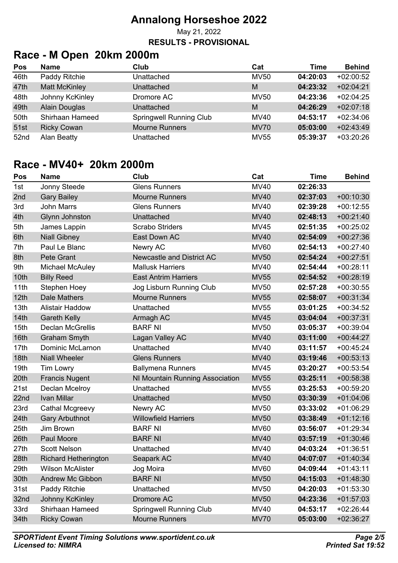May 21, 2022

#### **RESULTS - PROVISIONAL**

# **Race - M Open 20km 2000m**

| Pos  | <b>Name</b>          | Club                           | Cat         | Time     | <b>Behind</b> |
|------|----------------------|--------------------------------|-------------|----------|---------------|
| 46th | Paddy Ritchie        | Unattached                     | <b>MV50</b> | 04:20:03 | $+02:00:52$   |
| 47th | <b>Matt McKinley</b> | Unattached                     | M           | 04:23:32 | $+02:04:21$   |
| 48th | Johnny KcKinley      | Dromore AC                     | <b>MV50</b> | 04:23:36 | $+02:04:25$   |
| 49th | Alain Douglas        | Unattached                     | M           | 04:26:29 | $+02:07:18$   |
| 50th | Shirhaan Hameed      | <b>Springwell Running Club</b> | MV40        | 04:53:17 | $+02:34:06$   |
| 51st | <b>Ricky Cowan</b>   | <b>Mourne Runners</b>          | <b>MV70</b> | 05:03:00 | $+02:43:49$   |
| 52nd | Alan Beatty          | Unattached                     | <b>MV55</b> | 05:39:37 | $+03:20:26$   |

#### **Race - MV40+ 20km 2000m**

| Pos  | <b>Name</b>                 | Club                             | Cat         | <b>Time</b> | <b>Behind</b> |
|------|-----------------------------|----------------------------------|-------------|-------------|---------------|
| 1st  | Jonny Steede                | <b>Glens Runners</b>             | <b>MV40</b> | 02:26:33    |               |
| 2nd  | <b>Gary Bailey</b>          | <b>Mourne Runners</b>            | <b>MV40</b> | 02:37:03    | $+00:10:30$   |
| 3rd  | <b>John Marrs</b>           | <b>Glens Runners</b>             | <b>MV40</b> | 02:39:28    | $+00:12:55$   |
| 4th  | <b>Glynn Johnston</b>       | Unattached                       | <b>MV40</b> | 02:48:13    | $+00:21:40$   |
| 5th  | James Lappin                | <b>Scrabo Striders</b>           | <b>MV45</b> | 02:51:35    | $+00:25:02$   |
| 6th  | <b>Niall Gibney</b>         | East Down AC                     | <b>MV40</b> | 02:54:09    | $+00:27:36$   |
| 7th  | Paul Le Blanc               | Newry AC                         | <b>MV60</b> | 02:54:13    | $+00:27:40$   |
| 8th  | Pete Grant                  | <b>Newcastle and District AC</b> | <b>MV50</b> | 02:54:24    | $+00:27:51$   |
| 9th  | <b>Michael McAuley</b>      | <b>Mallusk Harriers</b>          | <b>MV40</b> | 02:54:44    | $+00:28:11$   |
| 10th | <b>Billy Reed</b>           | <b>East Antrim Harriers</b>      | <b>MV55</b> | 02:54:52    | $+00:28:19$   |
| 11th | <b>Stephen Hoey</b>         | Jog Lisburn Running Club         | <b>MV50</b> | 02:57:28    | $+00:30:55$   |
| 12th | <b>Dale Mathers</b>         | <b>Mourne Runners</b>            | <b>MV55</b> | 02:58:07    | $+00:31:34$   |
| 13th | <b>Alistair Haddow</b>      | Unattached                       | <b>MV55</b> | 03:01:25    | $+00:34:52$   |
| 14th | <b>Gareth Kelly</b>         | Armagh AC                        | <b>MV45</b> | 03:04:04    | $+00:37:31$   |
| 15th | <b>Declan McGrellis</b>     | <b>BARF NI</b>                   | <b>MV50</b> | 03:05:37    | $+00:39:04$   |
| 16th | <b>Graham Smyth</b>         | Lagan Valley AC                  | <b>MV40</b> | 03:11:00    | $+00:44:27$   |
| 17th | <b>Dominic McLarnon</b>     | Unattached                       | <b>MV40</b> | 03:11:57    | $+00:45:24$   |
| 18th | <b>Niall Wheeler</b>        | <b>Glens Runners</b>             | <b>MV40</b> | 03:19:46    | $+00:53:13$   |
| 19th | <b>Tim Lowry</b>            | <b>Ballymena Runners</b>         | <b>MV45</b> | 03:20:27    | $+00:53:54$   |
| 20th | <b>Francis Nugent</b>       | NI Mountain Running Association  | <b>MV55</b> | 03:25:11    | $+00:58:38$   |
| 21st | Declan Mcelroy              | Unattached                       | <b>MV55</b> | 03:25:53    | $+00:59:20$   |
| 22nd | Ivan Millar                 | Unattached                       | <b>MV50</b> | 03:30:39    | $+01:04:06$   |
| 23rd | Cathal Mcgreevy             | Newry AC                         | <b>MV50</b> | 03:33:02    | $+01:06:29$   |
| 24th | <b>Gary Arbuthnot</b>       | <b>Willowfield Harriers</b>      | <b>MV50</b> | 03:38:49    | $+01:12:16$   |
| 25th | Jim Brown                   | <b>BARF NI</b>                   | <b>MV60</b> | 03:56:07    | $+01:29:34$   |
| 26th | Paul Moore                  | <b>BARF NI</b>                   | <b>MV40</b> | 03:57:19    | $+01:30:46$   |
| 27th | <b>Scott Nelson</b>         | Unattached                       | <b>MV40</b> | 04:03:24    | $+01:36:51$   |
| 28th | <b>Richard Hetherington</b> | Seapark AC                       | <b>MV40</b> | 04:07:07    | $+01:40:34$   |
| 29th | <b>Wilson McAlister</b>     | Jog Moira                        | <b>MV60</b> | 04:09:44    | $+01:43:11$   |
| 30th | <b>Andrew Mc Gibbon</b>     | <b>BARF NI</b>                   | <b>MV50</b> | 04:15:03    | $+01:48:30$   |
| 31st | Paddy Ritchie               | Unattached                       | <b>MV50</b> | 04:20:03    | $+01:53:30$   |
| 32nd | Johnny KcKinley             | Dromore AC                       | <b>MV50</b> | 04:23:36    | $+01:57:03$   |
| 33rd | Shirhaan Hameed             | <b>Springwell Running Club</b>   | <b>MV40</b> | 04:53:17    | $+02:26:44$   |
| 34th | <b>Ricky Cowan</b>          | <b>Mourne Runners</b>            | <b>MV70</b> | 05:03:00    | $+02:36:27$   |
|      |                             |                                  |             |             |               |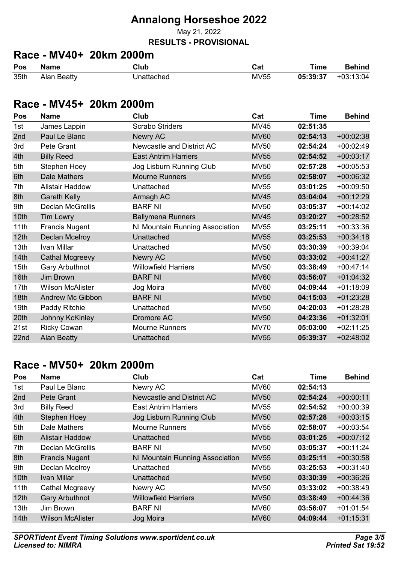May 21, 2022

#### **RESULTS - PROVISIONAL**

# **Race - MV40+ 20km 2000m**

| Pos  | <b>Name</b> | Club       | Cat         | Time     | <b>Behind</b> |
|------|-------------|------------|-------------|----------|---------------|
| 35th | Alan Beatty | Jnattached | <b>MV55</b> | 05:39:37 | +03:13:04     |

#### **Race - MV45+ 20km 2000m**

| Pos              | <b>Name</b>             | Club                            | Cat         | <b>Time</b> | <b>Behind</b> |
|------------------|-------------------------|---------------------------------|-------------|-------------|---------------|
| 1st              | James Lappin            | <b>Scrabo Striders</b>          | <b>MV45</b> | 02:51:35    |               |
| 2nd              | Paul Le Blanc           | Newry AC                        | <b>MV60</b> | 02:54:13    | $+00:02:38$   |
| 3rd              | Pete Grant              | Newcastle and District AC       | <b>MV50</b> | 02:54:24    | $+00:02:49$   |
| 4th              | <b>Billy Reed</b>       | <b>East Antrim Harriers</b>     | <b>MV55</b> | 02:54:52    | $+00:03:17$   |
| 5th              | Stephen Hoey            | Jog Lisburn Running Club        | <b>MV50</b> | 02:57:28    | $+00:05:53$   |
| 6th              | <b>Dale Mathers</b>     | <b>Mourne Runners</b>           | <b>MV55</b> | 02:58:07    | $+00:06:32$   |
| 7th              | <b>Alistair Haddow</b>  | Unattached                      | <b>MV55</b> | 03:01:25    | $+00:09:50$   |
| 8th              | <b>Gareth Kelly</b>     | Armagh AC                       | <b>MV45</b> | 03:04:04    | $+00:12:29$   |
| 9th              | Declan McGrellis        | <b>BARF NI</b>                  | <b>MV50</b> | 03:05:37    | $+00:14:02$   |
| 10th             | <b>Tim Lowry</b>        | <b>Ballymena Runners</b>        | <b>MV45</b> | 03:20:27    | $+00:28:52$   |
| 11th             | <b>Francis Nugent</b>   | NI Mountain Running Association | <b>MV55</b> | 03:25:11    | $+00:33:36$   |
| 12 <sub>th</sub> | <b>Declan Mcelroy</b>   | Unattached                      | <b>MV55</b> | 03:25:53    | $+00:34:18$   |
| 13th             | Ivan Millar             | Unattached                      | <b>MV50</b> | 03:30:39    | $+00:39:04$   |
| 14 <sub>th</sub> | <b>Cathal Mcgreevy</b>  | Newry AC                        | <b>MV50</b> | 03:33:02    | $+00:41:27$   |
| 15th             | <b>Gary Arbuthnot</b>   | <b>Willowfield Harriers</b>     | <b>MV50</b> | 03:38:49    | $+00:47:14$   |
| 16th             | <b>Jim Brown</b>        | <b>BARF NI</b>                  | <b>MV60</b> | 03:56:07    | $+01:04:32$   |
| 17th             | <b>Wilson McAlister</b> | Jog Moira                       | <b>MV60</b> | 04:09:44    | $+01:18:09$   |
| 18th             | <b>Andrew Mc Gibbon</b> | <b>BARF NI</b>                  | <b>MV50</b> | 04:15:03    | $+01:23:28$   |
| 19th             | Paddy Ritchie           | Unattached                      | <b>MV50</b> | 04:20:03    | $+01:28:28$   |
| 20th             | Johnny KcKinley         | Dromore AC                      | <b>MV50</b> | 04:23:36    | $+01:32:01$   |
| 21st             | <b>Ricky Cowan</b>      | <b>Mourne Runners</b>           | <b>MV70</b> | 05:03:00    | $+02:11:25$   |
| 22nd             | <b>Alan Beatty</b>      | Unattached                      | <b>MV55</b> | 05:39:37    | $+02:48:02$   |

#### **Race - MV50+ 20km 2000m**

| <b>Pos</b>       | <b>Name</b>             | Club                            | Cat         | Time     | <b>Behind</b> |
|------------------|-------------------------|---------------------------------|-------------|----------|---------------|
| 1st              | Paul Le Blanc           | Newry AC                        | <b>MV60</b> | 02:54:13 |               |
| 2nd              | Pete Grant              | Newcastle and District AC       | <b>MV50</b> | 02:54:24 | $+00:00:11$   |
| 3rd              | <b>Billy Reed</b>       | <b>East Antrim Harriers</b>     | <b>MV55</b> | 02:54:52 | $+00:00:39$   |
| 4th              | <b>Stephen Hoey</b>     | Jog Lisburn Running Club        | <b>MV50</b> | 02:57:28 | $+00:03:15$   |
| 5th              | Dale Mathers            | <b>Mourne Runners</b>           | <b>MV55</b> | 02:58:07 | $+00:03:54$   |
| 6th              | <b>Alistair Haddow</b>  | Unattached                      | <b>MV55</b> | 03:01:25 | $+00:07:12$   |
| 7th              | <b>Declan McGrellis</b> | <b>BARF NI</b>                  | <b>MV50</b> | 03:05:37 | $+00:11:24$   |
| 8th              | <b>Francis Nugent</b>   | NI Mountain Running Association | <b>MV55</b> | 03:25:11 | $+00:30:58$   |
| 9th              | Declan Mcelroy          | Unattached                      | <b>MV55</b> | 03:25:53 | $+00:31:40$   |
| 10 <sub>th</sub> | <b>Ivan Millar</b>      | Unattached                      | <b>MV50</b> | 03:30:39 | $+00:36:26$   |
| 11th             | Cathal Mcgreevy         | Newry AC                        | <b>MV50</b> | 03:33:02 | $+00:38:49$   |
| 12 <sub>th</sub> | <b>Gary Arbuthnot</b>   | <b>Willowfield Harriers</b>     | <b>MV50</b> | 03:38:49 | $+00:44:36$   |
| 13 <sub>th</sub> | Jim Brown               | <b>BARF NI</b>                  | <b>MV60</b> | 03:56:07 | $+01:01:54$   |
| 14 <sub>th</sub> | <b>Wilson McAlister</b> | Jog Moira                       | <b>MV60</b> | 04:09:44 | $+01:15:31$   |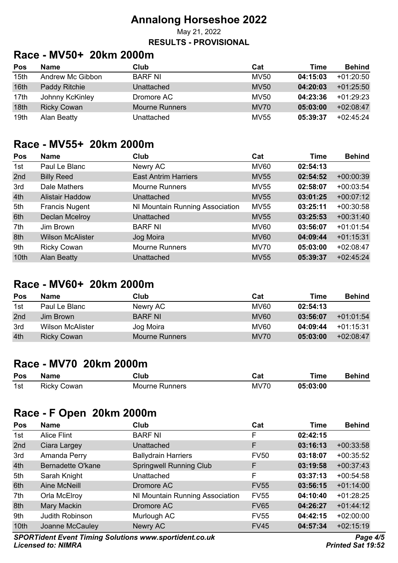#### **Annalong Horseshoe 2022** May 21, 2022

# **RESULTS - PROVISIONAL**

### **Race - MV50+ 20km 2000m**

| Pos  | <b>Name</b>        | Club                  | Cat         | Time     | <b>Behind</b> |
|------|--------------------|-----------------------|-------------|----------|---------------|
| 15th | Andrew Mc Gibbon   | <b>BARF NI</b>        | <b>MV50</b> | 04:15:03 | $+01:20:50$   |
| 16th | Paddy Ritchie      | Unattached            | <b>MV50</b> | 04:20:03 | $+01:25:50$   |
| 17th | Johnny KcKinley    | Dromore AC            | <b>MV50</b> | 04:23:36 | $+01.29:23$   |
| 18th | <b>Ricky Cowan</b> | <b>Mourne Runners</b> | <b>MV70</b> | 05:03:00 | $+02:08:47$   |
| 19th | Alan Beatty        | Unattached            | <b>MV55</b> | 05:39:37 | $+02:45:24$   |

#### **Race - MV55+ 20km 2000m**

| Pos  | <b>Name</b>             | Club                            | Cat         | <b>Time</b> | <b>Behind</b> |
|------|-------------------------|---------------------------------|-------------|-------------|---------------|
| 1st  | Paul Le Blanc           | Newry AC                        | <b>MV60</b> | 02:54:13    |               |
| 2nd  | <b>Billy Reed</b>       | <b>East Antrim Harriers</b>     | <b>MV55</b> | 02:54:52    | $+00:00:39$   |
| 3rd  | Dale Mathers            | <b>Mourne Runners</b>           | <b>MV55</b> | 02:58:07    | $+00:03:54$   |
| 4th  | <b>Alistair Haddow</b>  | Unattached                      | <b>MV55</b> | 03:01:25    | $+00:07:12$   |
| 5th  | <b>Francis Nugent</b>   | NI Mountain Running Association | <b>MV55</b> | 03:25:11    | $+00:30:58$   |
| 6th  | Declan Mcelroy          | <b>Unattached</b>               | <b>MV55</b> | 03:25:53    | $+00:31:40$   |
| 7th  | Jim Brown               | <b>BARF NI</b>                  | <b>MV60</b> | 03:56:07    | $+01:01:54$   |
| 8th  | <b>Wilson McAlister</b> | Jog Moira                       | <b>MV60</b> | 04:09:44    | $+01:15:31$   |
| 9th  | <b>Ricky Cowan</b>      | <b>Mourne Runners</b>           | <b>MV70</b> | 05:03:00    | $+02:08:47$   |
| 10th | <b>Alan Beatty</b>      | Unattached                      | <b>MV55</b> | 05:39:37    | $+02:45:24$   |

#### **Race - MV60+ 20km 2000m**

| Pos             | <b>Name</b>             | Club                  | Cat              | Time     | <b>Behind</b> |
|-----------------|-------------------------|-----------------------|------------------|----------|---------------|
| 1st             | Paul Le Blanc           | Newry AC              | MV60             | 02:54:13 |               |
| 2 <sub>nd</sub> | Jim Brown               | <b>BARF NI</b>        | MV <sub>60</sub> | 03:56:07 | $+01:01:54$   |
| 3rd             | <b>Wilson McAlister</b> | Jog Moira             | MV60             | 04:09:44 | $+01:15:31$   |
| 4th             | <b>Ricky Cowan</b>      | <b>Mourne Runners</b> | <b>MV70</b>      | 05:03:00 | $+02:08:47$   |

#### **Race - MV70 20km 2000m**

| Pos | <b>Name</b>        | Club           | วat∶        | Time     | <b>Behind</b> |
|-----|--------------------|----------------|-------------|----------|---------------|
| 1st | <b>Ricky Cowan</b> | Mourne Runners | <b>MV70</b> | 05:03:00 |               |

#### **Race - F Open 20km 2000m**

| Pos  | <b>Name</b>              | Club                            | Cat         | <b>Time</b> | <b>Behind</b> |
|------|--------------------------|---------------------------------|-------------|-------------|---------------|
| 1st  | Alice Flint              | <b>BARF NI</b>                  | F           | 02:42:15    |               |
| 2nd  | Ciara Largey             | Unattached                      | F           | 03:16:13    | $+00:33:58$   |
| 3rd  | Amanda Perry             | <b>Ballydrain Harriers</b>      | <b>FV50</b> | 03:18:07    | $+00:35:52$   |
| 4th  | <b>Bernadette O'kane</b> | <b>Springwell Running Club</b>  | F           | 03:19:58    | $+00:37:43$   |
| 5th  | Sarah Knight             | Unattached                      | F           | 03:37:13    | $+00:54:58$   |
| 6th  | Aine McNeill             | Dromore AC                      | <b>FV55</b> | 03:56:15    | $+01:14:00$   |
| 7th  | Orla McElroy             | NI Mountain Running Association | <b>FV55</b> | 04:10:40    | $+01:28:25$   |
| 8th  | Mary Mackin              | Dromore AC                      | <b>FV65</b> | 04:26:27    | $+01:44:12$   |
| 9th  | <b>Judith Robinson</b>   | Murlough AC                     | <b>FV55</b> | 04:42:15    | $+02:00:00$   |
| 10th | Joanne McCauley          | Newry AC                        | <b>FV45</b> | 04:57:34    | $+02:15:19$   |

*SPORTident Event Timing Solutions www.sportident.co.uk Licensed to: NIMRA*

*Page 4/5 Printed Sat 19:52*